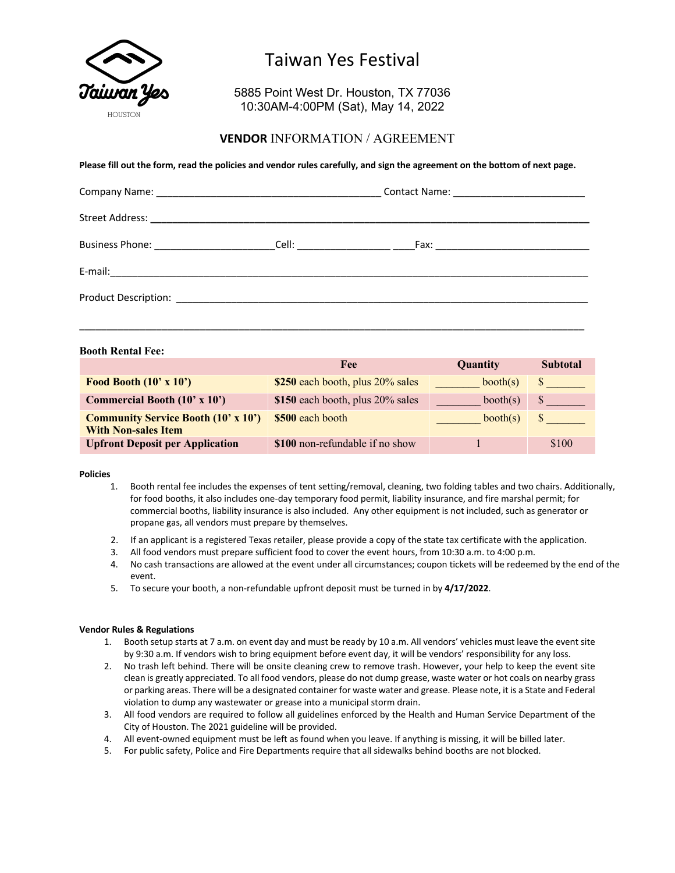

# Taiwan Yes Festival

5885 Point West Dr. Houston, TX 77036 10:30AM-4:00PM (Sat), May 14, 2022

### **VENDOR** INFORMATION / AGREEMENT

#### **Please fill out the form, read the policies and vendor rules carefully, and sign the agreement on the bottom of next page.**

| Contact Name: ____________________________ |  |  |
|--------------------------------------------|--|--|
|                                            |  |  |
|                                            |  |  |
|                                            |  |  |
|                                            |  |  |

 $\overline{a}$  , and the set of the set of the set of the set of the set of the set of the set of the set of the set of the set of the set of the set of the set of the set of the set of the set of the set of the set of the set

#### **Booth Rental Fee:**

|                                                                          | Fee                              | Quantity | <b>Subtotal</b> |
|--------------------------------------------------------------------------|----------------------------------|----------|-----------------|
| Food Booth $(10' \times 10')$                                            | \$250 each booth, plus 20% sales | booth(s) |                 |
| <b>Commercial Booth (10' x 10')</b>                                      | \$150 each booth, plus 20% sales | booth(s) |                 |
| <b>Community Service Booth (10' x 10')</b><br><b>With Non-sales Item</b> | \$500 each booth                 | booth(s) |                 |
| <b>Upfront Deposit per Application</b>                                   | \$100 non-refundable if no show  |          | \$100           |

#### **Policies**

- 1. Booth rental fee includes the expenses of tent setting/removal, cleaning, two folding tables and two chairs. Additionally, for food booths, it also includes one-day temporary food permit, liability insurance, and fire marshal permit; for commercial booths, liability insurance is also included. Any other equipment is not included, such as generator or propane gas, all vendors must prepare by themselves.
- 2. If an applicant is a registered Texas retailer, please provide a copy of the state tax certificate with the application.
- 3. All food vendors must prepare sufficient food to cover the event hours, from 10:30 a.m. to 4:00 p.m.
- 4. No cash transactions are allowed at the event under all circumstances; coupon tickets will be redeemed by the end of the event.
- 5. To secure your booth, a non-refundable upfront deposit must be turned in by **4/17/2022**.

#### **Vendor Rules & Regulations**

- 1. Booth setup starts at 7 a.m. on event day and must be ready by 10 a.m. All vendors' vehicles must leave the event site by 9:30 a.m. If vendors wish to bring equipment before event day, it will be vendors' responsibility for any loss.
- 2. No trash left behind. There will be onsite cleaning crew to remove trash. However, your help to keep the event site clean is greatly appreciated. To all food vendors, please do not dump grease, waste water or hot coals on nearby grass or parking areas. There will be a designated container for waste water and grease. Please note, it is a State and Federal violation to dump any wastewater or grease into a municipal storm drain.
- 3. All food vendors are required to follow all guidelines enforced by the Health and Human Service Department of the City of Houston. The 2021 guideline will be provided.
- 4. All event-owned equipment must be left as found when you leave. If anything is missing, it will be billed later.
- 5. For public safety, Police and Fire Departments require that all sidewalks behind booths are not blocked.